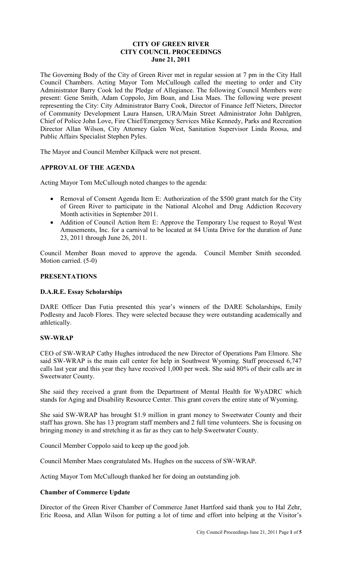# **CITY OF GREEN RIVER CITY COUNCIL PROCEEDINGS June 21, 2011**

The Governing Body of the City of Green River met in regular session at 7 pm in the City Hall Council Chambers. Acting Mayor Tom McCullough called the meeting to order and City Administrator Barry Cook led the Pledge of Allegiance. The following Council Members were present: Gene Smith, Adam Coppolo, Jim Boan, and Lisa Maes. The following were present representing the City: City Administrator Barry Cook, Director of Finance Jeff Nieters, Director of Community Development Laura Hansen, URA/Main Street Administrator John Dahlgren, Chief of Police John Love, Fire Chief/Emergency Services Mike Kennedy, Parks and Recreation Director Allan Wilson, City Attorney Galen West, Sanitation Supervisor Linda Roosa, and Public Affairs Specialist Stephen Pyles.

The Mayor and Council Member Killpack were not present.

# **APPROVAL OF THE AGENDA**

Acting Mayor Tom McCullough noted changes to the agenda:

- Removal of Consent Agenda Item E: Authorization of the \$500 grant match for the City of Green River to participate in the National Alcohol and Drug Addiction Recovery Month activities in September 2011.
- Addition of Council Action Item E: Approve the Temporary Use request to Royal West Amusements, Inc. for a carnival to be located at 84 Uinta Drive for the duration of June 23, 2011 through June 26, 2011.

Council Member Boan moved to approve the agenda. Council Member Smith seconded. Motion carried. (5-0)

# **PRESENTATIONS**

#### **D.A.R.E. Essay Scholarships**

DARE Officer Dan Futia presented this year's winners of the DARE Scholarships, Emily Podlesny and Jacob Flores. They were selected because they were outstanding academically and athletically.

#### **SW-WRAP**

CEO of SW-WRAP Cathy Hughes introduced the new Director of Operations Pam Elmore. She said SW-WRAP is the main call center for help in Southwest Wyoming. Staff processed 6,747 calls last year and this year they have received 1,000 per week. She said 80% of their calls are in Sweetwater County.

She said they received a grant from the Department of Mental Health for WyADRC which stands for Aging and Disability Resource Center. This grant covers the entire state of Wyoming.

She said SW-WRAP has brought \$1.9 million in grant money to Sweetwater County and their staff has grown. She has 13 program staff members and 2 full time volunteers. She is focusing on bringing money in and stretching it as far as they can to help Sweetwater County.

Council Member Coppolo said to keep up the good job.

Council Member Maes congratulated Ms. Hughes on the success of SW-WRAP.

Acting Mayor Tom McCullough thanked her for doing an outstanding job.

#### **Chamber of Commerce Update**

Director of the Green River Chamber of Commerce Janet Hartford said thank you to Hal Zehr, Eric Roosa, and Allan Wilson for putting a lot of time and effort into helping at the Visitor's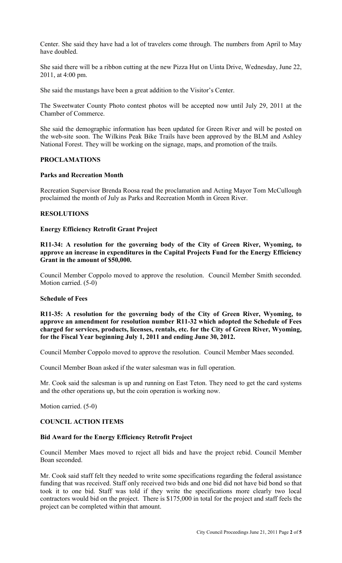Center. She said they have had a lot of travelers come through. The numbers from April to May have doubled.

She said there will be a ribbon cutting at the new Pizza Hut on Uinta Drive, Wednesday, June 22, 2011, at 4:00 pm.

She said the mustangs have been a great addition to the Visitor's Center.

The Sweetwater County Photo contest photos will be accepted now until July 29, 2011 at the Chamber of Commerce.

She said the demographic information has been updated for Green River and will be posted on the web-site soon. The Wilkins Peak Bike Trails have been approved by the BLM and Ashley National Forest. They will be working on the signage, maps, and promotion of the trails.

## **PROCLAMATIONS**

## **Parks and Recreation Month**

Recreation Supervisor Brenda Roosa read the proclamation and Acting Mayor Tom McCullough proclaimed the month of July as Parks and Recreation Month in Green River.

## **RESOLUTIONS**

## **Energy Efficiency Retrofit Grant Project**

**R11-34: A resolution for the governing body of the City of Green River, Wyoming, to approve an increase in expenditures in the Capital Projects Fund for the Energy Efficiency Grant in the amount of \$50,000.**

Council Member Coppolo moved to approve the resolution. Council Member Smith seconded. Motion carried. (5-0)

#### **Schedule of Fees**

**R11-35: A resolution for the governing body of the City of Green River, Wyoming, to approve an amendment for resolution number R11-32 which adopted the Schedule of Fees charged for services, products, licenses, rentals, etc. for the City of Green River, Wyoming, for the Fiscal Year beginning July 1, 2011 and ending June 30, 2012.** 

Council Member Coppolo moved to approve the resolution. Council Member Maes seconded.

Council Member Boan asked if the water salesman was in full operation.

Mr. Cook said the salesman is up and running on East Teton. They need to get the card systems and the other operations up, but the coin operation is working now.

Motion carried. (5-0)

## **COUNCIL ACTION ITEMS**

# **Bid Award for the Energy Efficiency Retrofit Project**

Council Member Maes moved to reject all bids and have the project rebid. Council Member Boan seconded.

Mr. Cook said staff felt they needed to write some specifications regarding the federal assistance funding that was received. Staff only received two bids and one bid did not have bid bond so that took it to one bid. Staff was told if they write the specifications more clearly two local contractors would bid on the project. There is \$175,000 in total for the project and staff feels the project can be completed within that amount.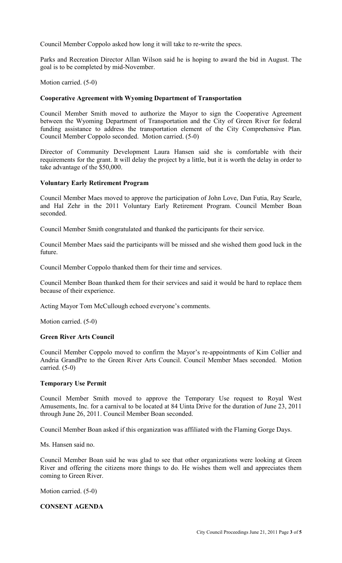Council Member Coppolo asked how long it will take to re-write the specs.

Parks and Recreation Director Allan Wilson said he is hoping to award the bid in August. The goal is to be completed by mid-November.

Motion carried. (5-0)

## **Cooperative Agreement with Wyoming Department of Transportation**

Council Member Smith moved to authorize the Mayor to sign the Cooperative Agreement between the Wyoming Department of Transportation and the City of Green River for federal funding assistance to address the transportation element of the City Comprehensive Plan. Council Member Coppolo seconded. Motion carried. (5-0)

Director of Community Development Laura Hansen said she is comfortable with their requirements for the grant. It will delay the project by a little, but it is worth the delay in order to take advantage of the \$50,000.

## **Voluntary Early Retirement Program**

Council Member Maes moved to approve the participation of John Love, Dan Futia, Ray Searle, and Hal Zehr in the 2011 Voluntary Early Retirement Program. Council Member Boan seconded.

Council Member Smith congratulated and thanked the participants for their service.

Council Member Maes said the participants will be missed and she wished them good luck in the future.

Council Member Coppolo thanked them for their time and services.

Council Member Boan thanked them for their services and said it would be hard to replace them because of their experience.

Acting Mayor Tom McCullough echoed everyone's comments.

Motion carried. (5-0)

#### **Green River Arts Council**

Council Member Coppolo moved to confirm the Mayor's re-appointments of Kim Collier and Andria GrandPre to the Green River Arts Council. Council Member Maes seconded. Motion carried. (5-0)

#### **Temporary Use Permit**

Council Member Smith moved to approve the Temporary Use request to Royal West Amusements, Inc. for a carnival to be located at 84 Uinta Drive for the duration of June 23, 2011 through June 26, 2011. Council Member Boan seconded.

Council Member Boan asked if this organization was affiliated with the Flaming Gorge Days.

Ms. Hansen said no.

Council Member Boan said he was glad to see that other organizations were looking at Green River and offering the citizens more things to do. He wishes them well and appreciates them coming to Green River.

Motion carried. (5-0)

## **CONSENT AGENDA**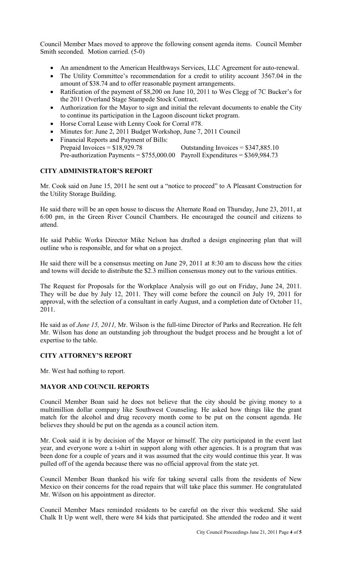Council Member Maes moved to approve the following consent agenda items. Council Member Smith seconded. Motion carried. (5-0)

- An amendment to the American Healthways Services, LLC Agreement for auto-renewal.
- The Utility Committee's recommendation for a credit to utility account 3567.04 in the amount of \$38.74 and to offer reasonable payment arrangements.
- Ratification of the payment of \$8,200 on June 10, 2011 to Wes Clegg of 7C Bucker's for the 2011 Overland Stage Stampede Stock Contract.
- Authorization for the Mayor to sign and initial the relevant documents to enable the City to continue its participation in the Lagoon discount ticket program.
- Horse Corral Lease with Lenny Cook for Corral #78.
- Minutes for: June 2, 2011 Budget Workshop, June 7, 2011 Council
- Financial Reports and Payment of Bills:<br>Prepaid Invoices =  $$18,929.78$ Outstanding Invoices =  $$347,885.10$ Pre-authorization Payments =  $$755,000.00$  Payroll Expenditures =  $$369,984.73$

# **CITY ADMINISTRATOR'S REPORT**

Mr. Cook said on June 15, 2011 he sent out a "notice to proceed" to A Pleasant Construction for the Utility Storage Building.

He said there will be an open house to discuss the Alternate Road on Thursday, June 23, 2011, at 6:00 pm, in the Green River Council Chambers. He encouraged the council and citizens to attend.

He said Public Works Director Mike Nelson has drafted a design engineering plan that will outline who is responsible, and for what on a project.

He said there will be a consensus meeting on June 29, 2011 at 8:30 am to discuss how the cities and towns will decide to distribute the \$2.3 million consensus money out to the various entities.

The Request for Proposals for the Workplace Analysis will go out on Friday, June 24, 2011. They will be due by July 12, 2011. They will come before the council on July 19, 2011 for approval, with the selection of a consultant in early August, and a completion date of October 11, 2011.

He said as of *June 15, 2011,* Mr. Wilson is the full-time Director of Parks and Recreation. He felt Mr. Wilson has done an outstanding job throughout the budget process and he brought a lot of expertise to the table.

# **CITY ATTORNEY'S REPORT**

Mr. West had nothing to report.

# **MAYOR AND COUNCIL REPORTS**

Council Member Boan said he does not believe that the city should be giving money to a multimillion dollar company like Southwest Counseling. He asked how things like the grant match for the alcohol and drug recovery month come to be put on the consent agenda. He believes they should be put on the agenda as a council action item.

Mr. Cook said it is by decision of the Mayor or himself. The city participated in the event last year, and everyone wore a t-shirt in support along with other agencies. It is a program that was been done for a couple of years and it was assumed that the city would continue this year. It was pulled off of the agenda because there was no official approval from the state yet.

Council Member Boan thanked his wife for taking several calls from the residents of New Mexico on their concerns for the road repairs that will take place this summer. He congratulated Mr. Wilson on his appointment as director.

Council Member Maes reminded residents to be careful on the river this weekend. She said Chalk It Up went well, there were 84 kids that participated. She attended the rodeo and it went